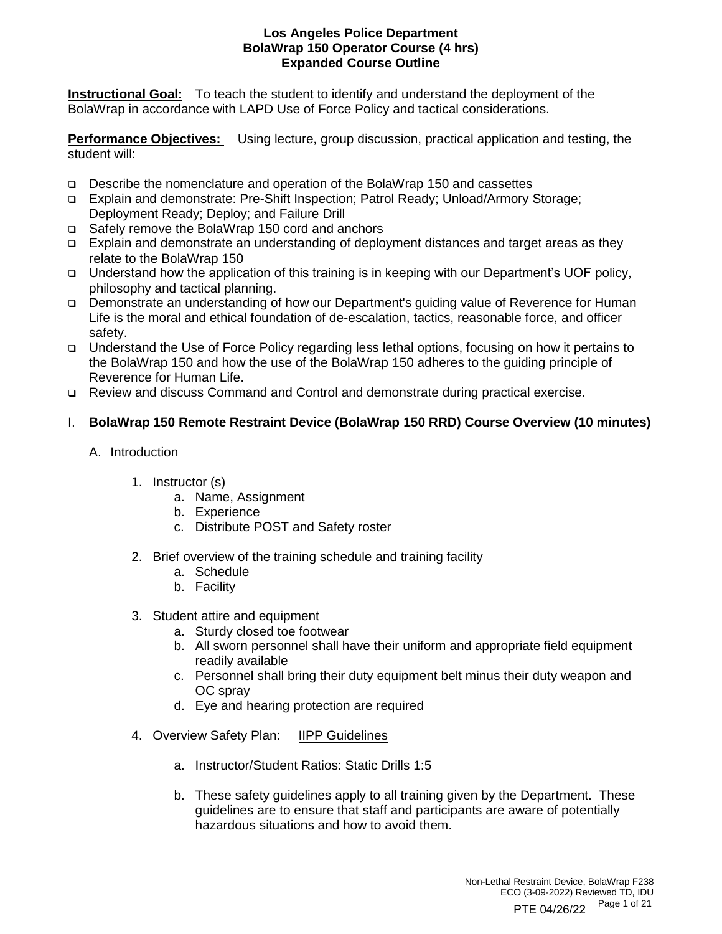**Instructional Goal:** To teach the student to identify and understand the deployment of the BolaWrap in accordance with LAPD Use of Force Policy and tactical considerations.

**Performance Objectives:** Using lecture, group discussion, practical application and testing, the student will:

- ❑ Describe the nomenclature and operation of the BolaWrap 150 and cassettes
- ❑ Explain and demonstrate: Pre-Shift Inspection; Patrol Ready; Unload/Armory Storage; Deployment Ready; Deploy; and Failure Drill
- ❑ Safely remove the BolaWrap 150 cord and anchors
- ❑ Explain and demonstrate an understanding of deployment distances and target areas as they relate to the BolaWrap 150
- ❑ Understand how the application of this training is in keeping with our Department's UOF policy, philosophy and tactical planning.
- ❑ Demonstrate an understanding of how our Department's guiding value of Reverence for Human Life is the moral and ethical foundation of de-escalation, tactics, reasonable force, and officer safety.
- ❑ Understand the Use of Force Policy regarding less lethal options, focusing on how it pertains to the BolaWrap 150 and how the use of the BolaWrap 150 adheres to the guiding principle of Reverence for Human Life.
- ❑ Review and discuss Command and Control and demonstrate during practical exercise.

### I. **BolaWrap 150 Remote Restraint Device (BolaWrap 150 RRD) Course Overview (10 minutes)**

- A. Introduction
	- 1. Instructor (s)
		- a. Name, Assignment
		- b. Experience
		- c. Distribute POST and Safety roster
	- 2. Brief overview of the training schedule and training facility
		- a. Schedule
		- b. Facility
	- 3. Student attire and equipment
		- a. Sturdy closed toe footwear
		- b. All sworn personnel shall have their uniform and appropriate field equipment readily available
		- c. Personnel shall bring their duty equipment belt minus their duty weapon and OC spray
		- d. Eye and hearing protection are required
	- 4. Overview Safety Plan: IIPP Guidelines
		- a. Instructor/Student Ratios: Static Drills 1:5
		- b. These safety guidelines apply to all training given by the Department. These guidelines are to ensure that staff and participants are aware of potentially hazardous situations and how to avoid them.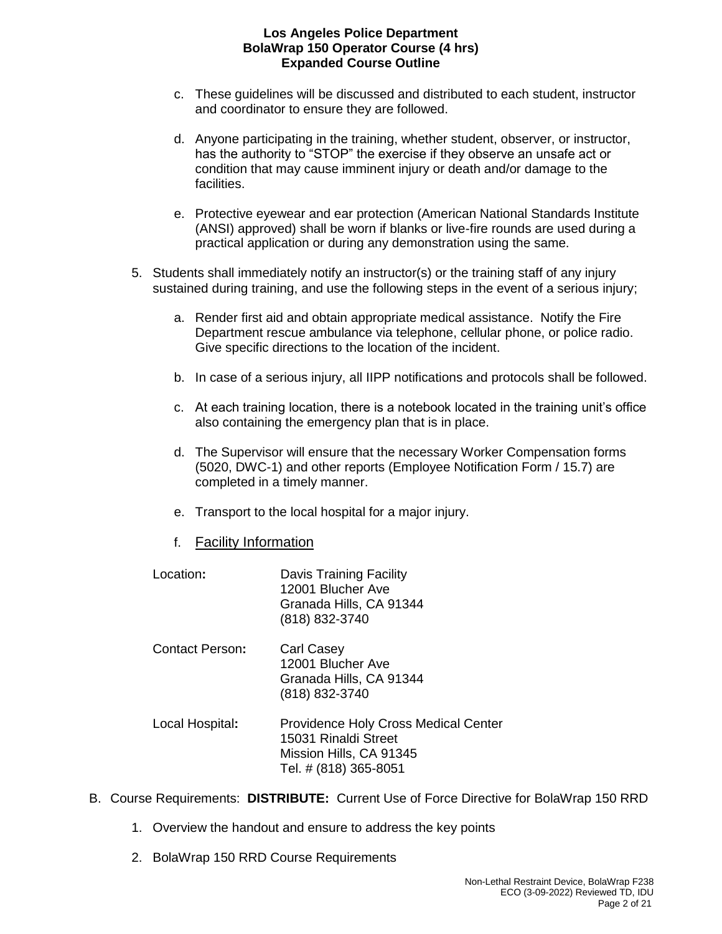- c. These guidelines will be discussed and distributed to each student, instructor and coordinator to ensure they are followed.
- d. Anyone participating in the training, whether student, observer, or instructor, has the authority to "STOP" the exercise if they observe an unsafe act or condition that may cause imminent injury or death and/or damage to the facilities.
- e. Protective eyewear and ear protection (American National Standards Institute (ANSI) approved) shall be worn if blanks or live-fire rounds are used during a practical application or during any demonstration using the same.
- 5. Students shall immediately notify an instructor(s) or the training staff of any injury sustained during training, and use the following steps in the event of a serious injury;
	- a. Render first aid and obtain appropriate medical assistance. Notify the Fire Department rescue ambulance via telephone, cellular phone, or police radio. Give specific directions to the location of the incident.
	- b. In case of a serious injury, all IIPP notifications and protocols shall be followed.
	- c. At each training location, there is a notebook located in the training unit's office also containing the emergency plan that is in place.
	- d. The Supervisor will ensure that the necessary Worker Compensation forms (5020, DWC-1) and other reports (Employee Notification Form / 15.7) are completed in a timely manner.
	- e. Transport to the local hospital for a major injury.
	- f. Facility Information

| Location:       | Davis Training Facility<br>12001 Blucher Ave<br>Granada Hills, CA 91344<br>(818) 832-3740                               |
|-----------------|-------------------------------------------------------------------------------------------------------------------------|
| Contact Person: | Carl Casey<br>12001 Blucher Ave<br>Granada Hills, CA 91344<br>(818) 832-3740                                            |
| Local Hospital: | <b>Providence Holy Cross Medical Center</b><br>15031 Rinaldi Street<br>Mission Hills, CA 91345<br>Tel. # (818) 365-8051 |

- B. Course Requirements: **DISTRIBUTE:** Current Use of Force Directive for BolaWrap 150 RRD
	- 1. Overview the handout and ensure to address the key points
	- 2. BolaWrap 150 RRD Course Requirements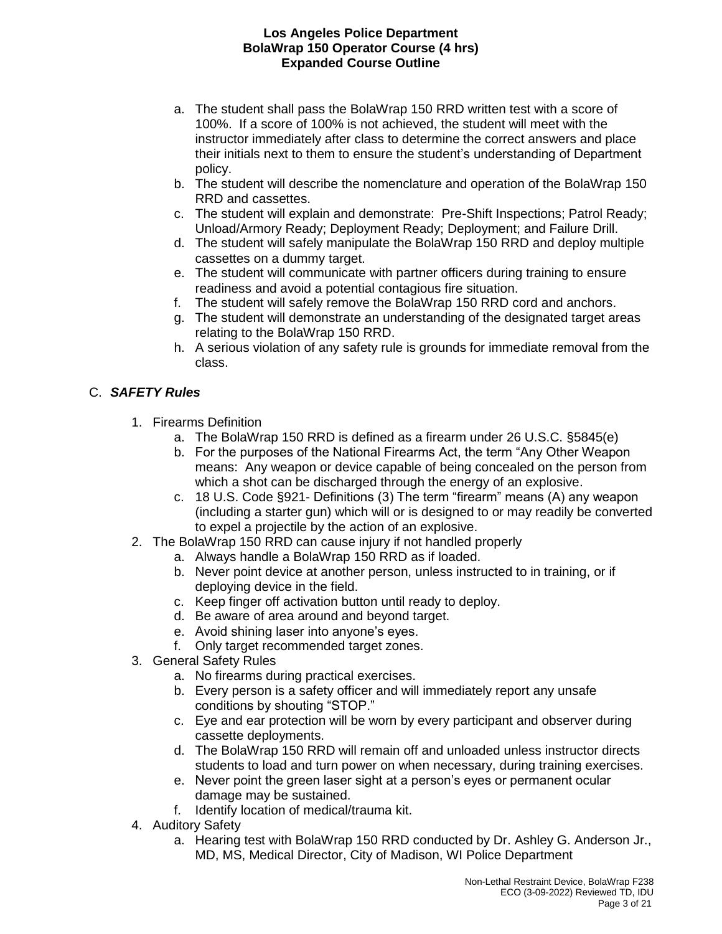- a. The student shall pass the BolaWrap 150 RRD written test with a score of 100%. If a score of 100% is not achieved, the student will meet with the instructor immediately after class to determine the correct answers and place their initials next to them to ensure the student's understanding of Department policy.
- b. The student will describe the nomenclature and operation of the BolaWrap 150 RRD and cassettes.
- c. The student will explain and demonstrate: Pre-Shift Inspections; Patrol Ready; Unload/Armory Ready; Deployment Ready; Deployment; and Failure Drill.
- d. The student will safely manipulate the BolaWrap 150 RRD and deploy multiple cassettes on a dummy target.
- e. The student will communicate with partner officers during training to ensure readiness and avoid a potential contagious fire situation.
- f. The student will safely remove the BolaWrap 150 RRD cord and anchors.
- g. The student will demonstrate an understanding of the designated target areas relating to the BolaWrap 150 RRD.
- h. A serious violation of any safety rule is grounds for immediate removal from the class.

# C. *SAFETY Rules*

- 1. Firearms Definition
	- a. The BolaWrap 150 RRD is defined as a firearm under 26 U.S.C. §5845(e)
	- b. For the purposes of the National Firearms Act, the term "Any Other Weapon means: Any weapon or device capable of being concealed on the person from which a shot can be discharged through the energy of an explosive.
	- c. 18 U.S. Code §921- Definitions (3) The term "firearm" means (A) any weapon (including a starter gun) which will or is designed to or may readily be converted to expel a projectile by the action of an explosive.
- 2. The BolaWrap 150 RRD can cause injury if not handled properly
	- a. Always handle a BolaWrap 150 RRD as if loaded.
		- b. Never point device at another person, unless instructed to in training, or if deploying device in the field.
		- c. Keep finger off activation button until ready to deploy.
		- d. Be aware of area around and beyond target.
		- e. Avoid shining laser into anyone's eyes.
		- f. Only target recommended target zones.
- 3. General Safety Rules
	- a. No firearms during practical exercises.
	- b. Every person is a safety officer and will immediately report any unsafe conditions by shouting "STOP."
	- c. Eye and ear protection will be worn by every participant and observer during cassette deployments.
	- d. The BolaWrap 150 RRD will remain off and unloaded unless instructor directs students to load and turn power on when necessary, during training exercises.
	- e. Never point the green laser sight at a person's eyes or permanent ocular damage may be sustained.
	- f. Identify location of medical/trauma kit.
- 4. Auditory Safety
	- a. Hearing test with BolaWrap 150 RRD conducted by Dr. Ashley G. Anderson Jr., MD, MS, Medical Director, City of Madison, WI Police Department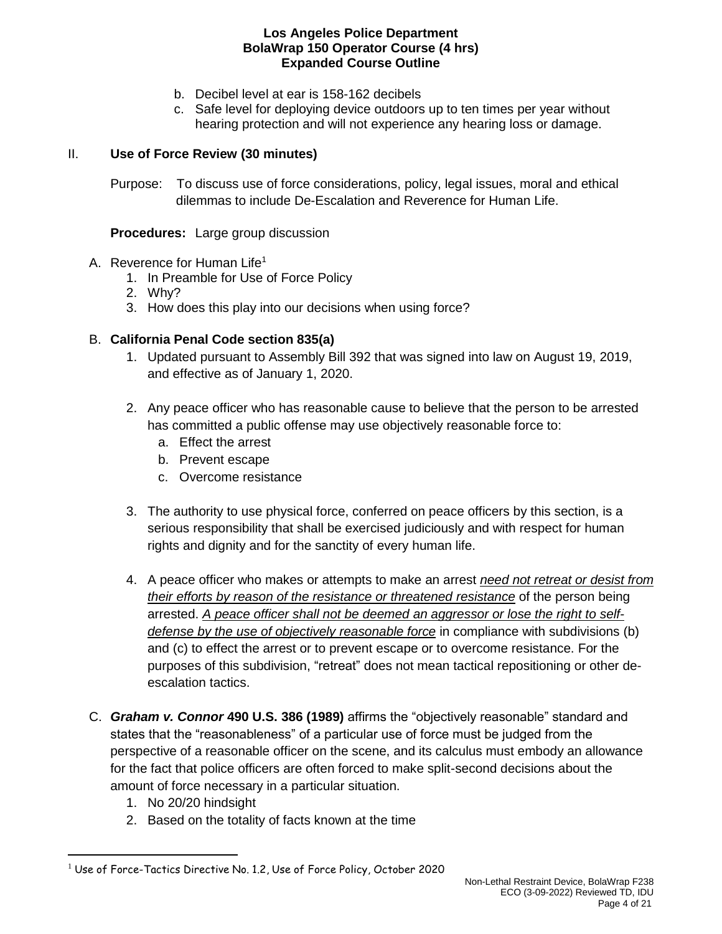- b. Decibel level at ear is 158-162 decibels
- c. Safe level for deploying device outdoors up to ten times per year without hearing protection and will not experience any hearing loss or damage.

### II. **Use of Force Review (30 minutes)**

Purpose: To discuss use of force considerations, policy, legal issues, moral and ethical dilemmas to include De-Escalation and Reverence for Human Life.

**Procedures:** Large group discussion

- A. Reverence for Human Life<sup>1</sup>
	- 1. In Preamble for Use of Force Policy
	- 2. Why?
	- 3. How does this play into our decisions when using force?

### B. **California Penal Code section 835(a)**

- 1. Updated pursuant to Assembly Bill 392 that was signed into law on August 19, 2019, and effective as of January 1, 2020.
- 2. Any peace officer who has reasonable cause to believe that the person to be arrested has committed a public offense may use objectively reasonable force to:
	- a. Effect the arrest
	- b. Prevent escape
	- c. Overcome resistance
- 3. The authority to use physical force, conferred on peace officers by this section, is a serious responsibility that shall be exercised judiciously and with respect for human rights and dignity and for the sanctity of every human life.
- 4. A peace officer who makes or attempts to make an arrest *need not retreat or desist from their efforts by reason of the resistance or threatened resistance* of the person being arrested. *A peace officer shall not be deemed an aggressor or lose the right to selfdefense by the use of objectively reasonable force* in compliance with subdivisions (b) and (c) to effect the arrest or to prevent escape or to overcome resistance. For the purposes of this subdivision, "retreat" does not mean tactical repositioning or other deescalation tactics.
- C. *Graham v. Connor* **490 U.S. 386 (1989)** affirms the "objectively reasonable" standard and states that the "reasonableness" of a particular use of force must be judged from the perspective of a reasonable officer on the scene, and its calculus must embody an allowance for the fact that police officers are often forced to make split-second decisions about the amount of force necessary in a particular situation.
	- 1. No 20/20 hindsight

 $\overline{a}$ 

2. Based on the totality of facts known at the time

 $1$  Use of Force-Tactics Directive No. 1.2, Use of Force Policy, October 2020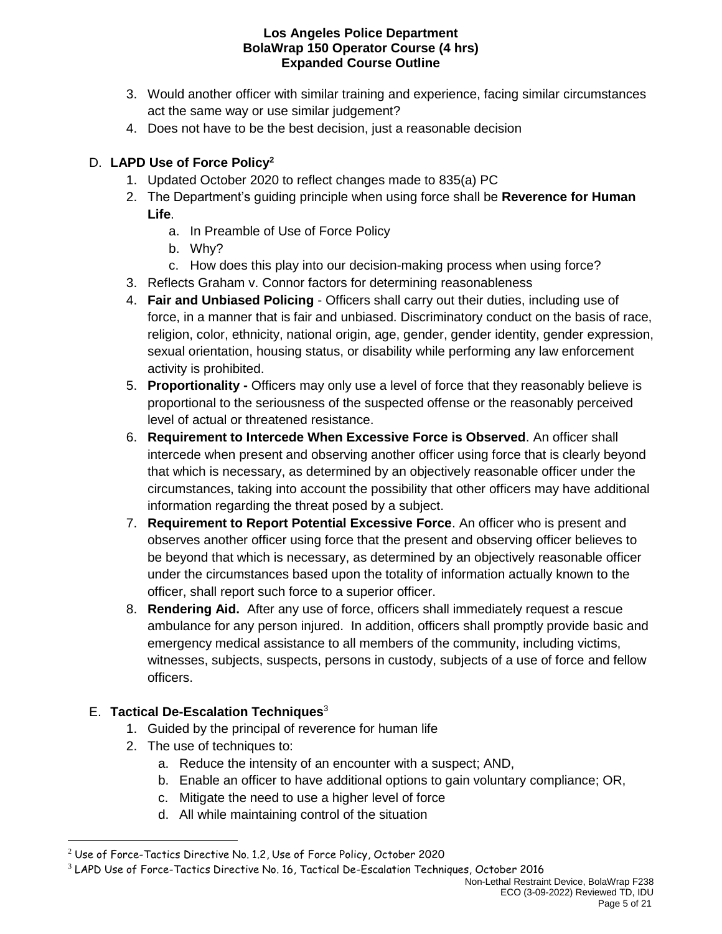- 3. Would another officer with similar training and experience, facing similar circumstances act the same way or use similar judgement?
- 4. Does not have to be the best decision, just a reasonable decision

# D. **LAPD Use of Force Policy<sup>2</sup>**

- 1. Updated October 2020 to reflect changes made to 835(a) PC
- 2. The Department's guiding principle when using force shall be **Reverence for Human Life**.
	- a. In Preamble of Use of Force Policy
	- b. Why?
	- c. How does this play into our decision-making process when using force?
- 3. Reflects Graham v. Connor factors for determining reasonableness
- 4. **Fair and Unbiased Policing** Officers shall carry out their duties, including use of force, in a manner that is fair and unbiased. Discriminatory conduct on the basis of race, religion, color, ethnicity, national origin, age, gender, gender identity, gender expression, sexual orientation, housing status, or disability while performing any law enforcement activity is prohibited.
- 5. **Proportionality -** Officers may only use a level of force that they reasonably believe is proportional to the seriousness of the suspected offense or the reasonably perceived level of actual or threatened resistance.
- 6. **Requirement to Intercede When Excessive Force is Observed**. An officer shall intercede when present and observing another officer using force that is clearly beyond that which is necessary, as determined by an objectively reasonable officer under the circumstances, taking into account the possibility that other officers may have additional information regarding the threat posed by a subject.
- 7. **Requirement to Report Potential Excessive Force**. An officer who is present and observes another officer using force that the present and observing officer believes to be beyond that which is necessary, as determined by an objectively reasonable officer under the circumstances based upon the totality of information actually known to the officer, shall report such force to a superior officer.
- 8. **Rendering Aid.** After any use of force, officers shall immediately request a rescue ambulance for any person injured. In addition, officers shall promptly provide basic and emergency medical assistance to all members of the community, including victims, witnesses, subjects, suspects, persons in custody, subjects of a use of force and fellow officers.

# E. **Tactical De-Escalation Techniques**<sup>3</sup>

- 1. Guided by the principal of reverence for human life
- 2. The use of techniques to:

 $\overline{a}$ 

- a. Reduce the intensity of an encounter with a suspect; AND,
- b. Enable an officer to have additional options to gain voluntary compliance; OR,
- c. Mitigate the need to use a higher level of force
- d. All while maintaining control of the situation

 $2$  Use of Force-Tactics Directive No. 1.2, Use of Force Policy, October 2020

<sup>3</sup> LAPD Use of Force-Tactics Directive No. 16, Tactical De-Escalation Techniques, October 2016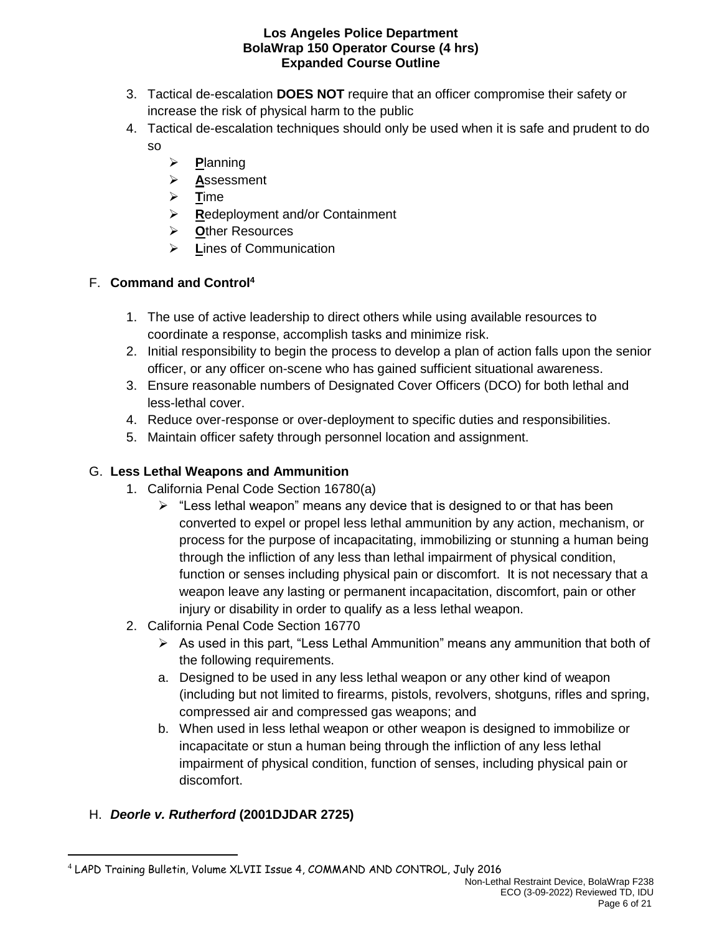- 3. Tactical de-escalation **DOES NOT** require that an officer compromise their safety or increase the risk of physical harm to the public
- 4. Tactical de-escalation techniques should only be used when it is safe and prudent to do so
	- ➢ **P**lanning
	- ➢ **A**ssessment
	- ➢ **T**ime
	- ➢ **R**edeployment and/or Containment
	- ➢ **O**ther Resources
	- **Lines of Communication**

# F. **Command and Control<sup>4</sup>**

- 1. The use of active leadership to direct others while using available resources to coordinate a response, accomplish tasks and minimize risk.
- 2. Initial responsibility to begin the process to develop a plan of action falls upon the senior officer, or any officer on-scene who has gained sufficient situational awareness.
- 3. Ensure reasonable numbers of Designated Cover Officers (DCO) for both lethal and less-lethal cover.
- 4. Reduce over-response or over-deployment to specific duties and responsibilities.
- 5. Maintain officer safety through personnel location and assignment.

# G. **Less Lethal Weapons and Ammunition**

- 1. California Penal Code Section 16780(a)
	- $\triangleright$  "Less lethal weapon" means any device that is designed to or that has been converted to expel or propel less lethal ammunition by any action, mechanism, or process for the purpose of incapacitating, immobilizing or stunning a human being through the infliction of any less than lethal impairment of physical condition, function or senses including physical pain or discomfort. It is not necessary that a weapon leave any lasting or permanent incapacitation, discomfort, pain or other injury or disability in order to qualify as a less lethal weapon.
- 2. California Penal Code Section 16770
	- ➢ As used in this part, "Less Lethal Ammunition" means any ammunition that both of the following requirements.
	- a. Designed to be used in any less lethal weapon or any other kind of weapon (including but not limited to firearms, pistols, revolvers, shotguns, rifles and spring, compressed air and compressed gas weapons; and
	- b. When used in less lethal weapon or other weapon is designed to immobilize or incapacitate or stun a human being through the infliction of any less lethal impairment of physical condition, function of senses, including physical pain or discomfort.

# H. *Deorle v. Rutherford* **(2001DJDAR 2725)**

 $\overline{a}$ 

<sup>4</sup> LAPD Training Bulletin, Volume XLVII Issue 4, COMMAND AND CONTROL, July 2016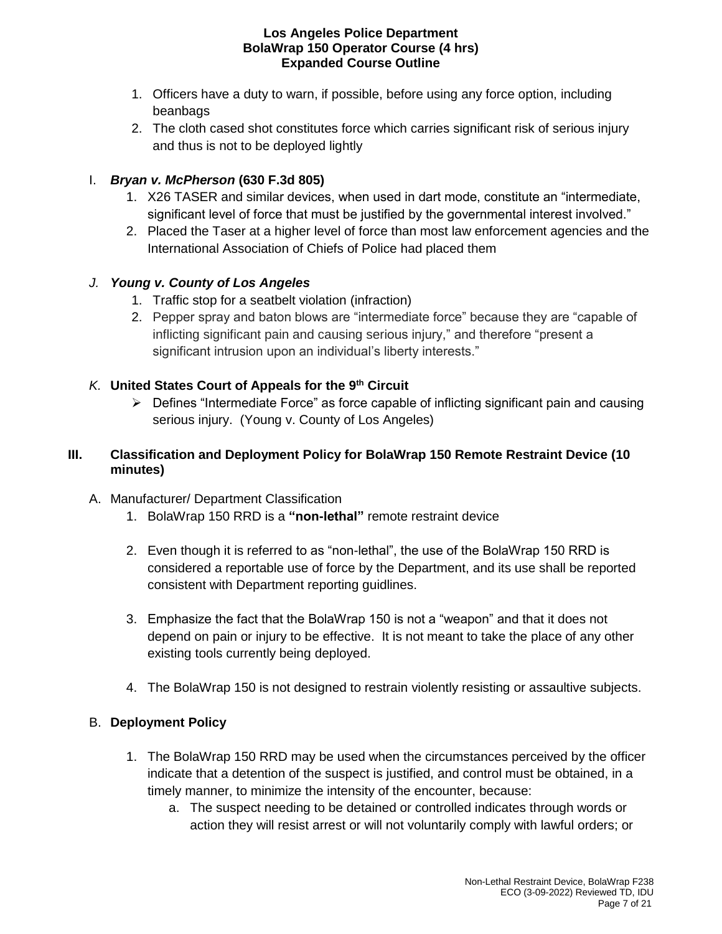- 1. Officers have a duty to warn, if possible, before using any force option, including beanbags
- 2. The cloth cased shot constitutes force which carries significant risk of serious injury and thus is not to be deployed lightly

### I. *Bryan v. McPherson* **(630 F.3d 805)**

- 1. X26 TASER and similar devices, when used in dart mode, constitute an "intermediate, significant level of force that must be justified by the governmental interest involved."
- 2. Placed the Taser at a higher level of force than most law enforcement agencies and the International Association of Chiefs of Police had placed them

### *J. Young v. County of Los Angeles*

- 1. Traffic stop for a seatbelt violation (infraction)
- 2. Pepper spray and baton blows are "intermediate force" because they are "capable of inflicting significant pain and causing serious injury," and therefore "present a significant intrusion upon an individual's liberty interests."

### *K.* **United States Court of Appeals for the 9th Circuit**

➢ Defines "Intermediate Force" as force capable of inflicting significant pain and causing serious injury. (Young v. County of Los Angeles)

### **III. Classification and Deployment Policy for BolaWrap 150 Remote Restraint Device (10 minutes)**

# A. Manufacturer/ Department Classification

- 1. BolaWrap 150 RRD is a **"non-lethal"** remote restraint device
- 2. Even though it is referred to as "non-lethal", the use of the BolaWrap 150 RRD is considered a reportable use of force by the Department, and its use shall be reported consistent with Department reporting guidlines.
- 3. Emphasize the fact that the BolaWrap 150 is not a "weapon" and that it does not depend on pain or injury to be effective. It is not meant to take the place of any other existing tools currently being deployed.
- 4. The BolaWrap 150 is not designed to restrain violently resisting or assaultive subjects.

### B. **Deployment Policy**

- 1. The BolaWrap 150 RRD may be used when the circumstances perceived by the officer indicate that a detention of the suspect is justified, and control must be obtained, in a timely manner, to minimize the intensity of the encounter, because:
	- a. The suspect needing to be detained or controlled indicates through words or action they will resist arrest or will not voluntarily comply with lawful orders; or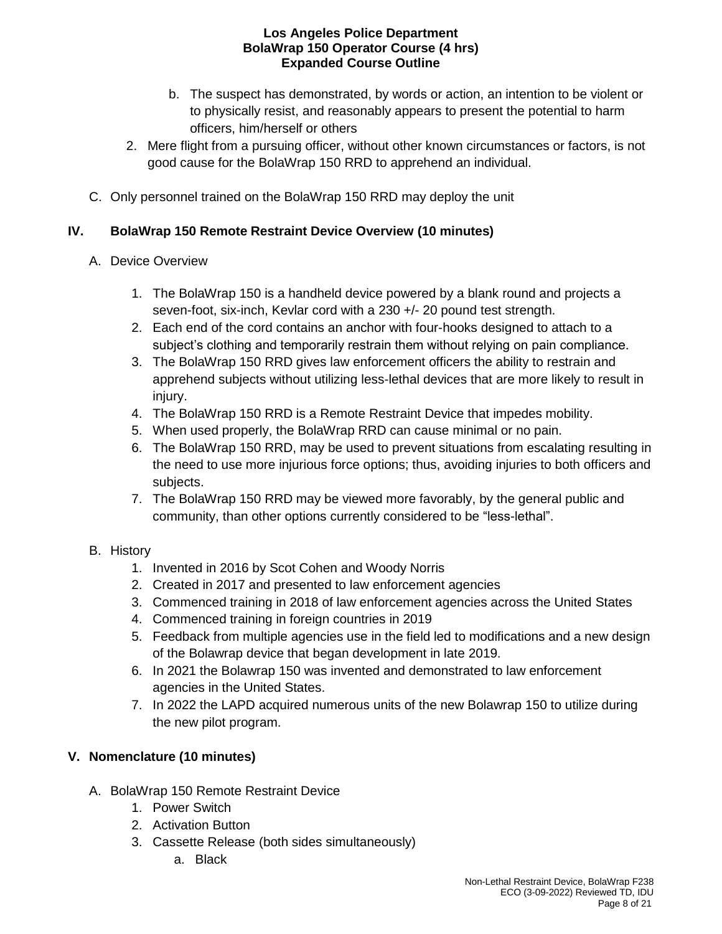- b. The suspect has demonstrated, by words or action, an intention to be violent or to physically resist, and reasonably appears to present the potential to harm officers, him/herself or others
- 2. Mere flight from a pursuing officer, without other known circumstances or factors, is not good cause for the BolaWrap 150 RRD to apprehend an individual.
- C. Only personnel trained on the BolaWrap 150 RRD may deploy the unit

# **IV. BolaWrap 150 Remote Restraint Device Overview (10 minutes)**

- A. Device Overview
	- 1. The BolaWrap 150 is a handheld device powered by a blank round and projects a seven-foot, six-inch, Kevlar cord with a 230 +/- 20 pound test strength.
	- 2. Each end of the cord contains an anchor with four-hooks designed to attach to a subject's clothing and temporarily restrain them without relying on pain compliance.
	- 3. The BolaWrap 150 RRD gives law enforcement officers the ability to restrain and apprehend subjects without utilizing less-lethal devices that are more likely to result in injury.
	- 4. The BolaWrap 150 RRD is a Remote Restraint Device that impedes mobility.
	- 5. When used properly, the BolaWrap RRD can cause minimal or no pain.
	- 6. The BolaWrap 150 RRD, may be used to prevent situations from escalating resulting in the need to use more injurious force options; thus, avoiding injuries to both officers and subjects.
	- 7. The BolaWrap 150 RRD may be viewed more favorably, by the general public and community, than other options currently considered to be "less-lethal".

# B. History

- 1. Invented in 2016 by Scot Cohen and Woody Norris
- 2. Created in 2017 and presented to law enforcement agencies
- 3. Commenced training in 2018 of law enforcement agencies across the United States
- 4. Commenced training in foreign countries in 2019
- 5. Feedback from multiple agencies use in the field led to modifications and a new design of the Bolawrap device that began development in late 2019.
- 6. In 2021 the Bolawrap 150 was invented and demonstrated to law enforcement agencies in the United States.
- 7. In 2022 the LAPD acquired numerous units of the new Bolawrap 150 to utilize during the new pilot program.

# **V. Nomenclature (10 minutes)**

- A. BolaWrap 150 Remote Restraint Device
	- 1. Power Switch
	- 2. Activation Button
	- 3. Cassette Release (both sides simultaneously)
		- a. Black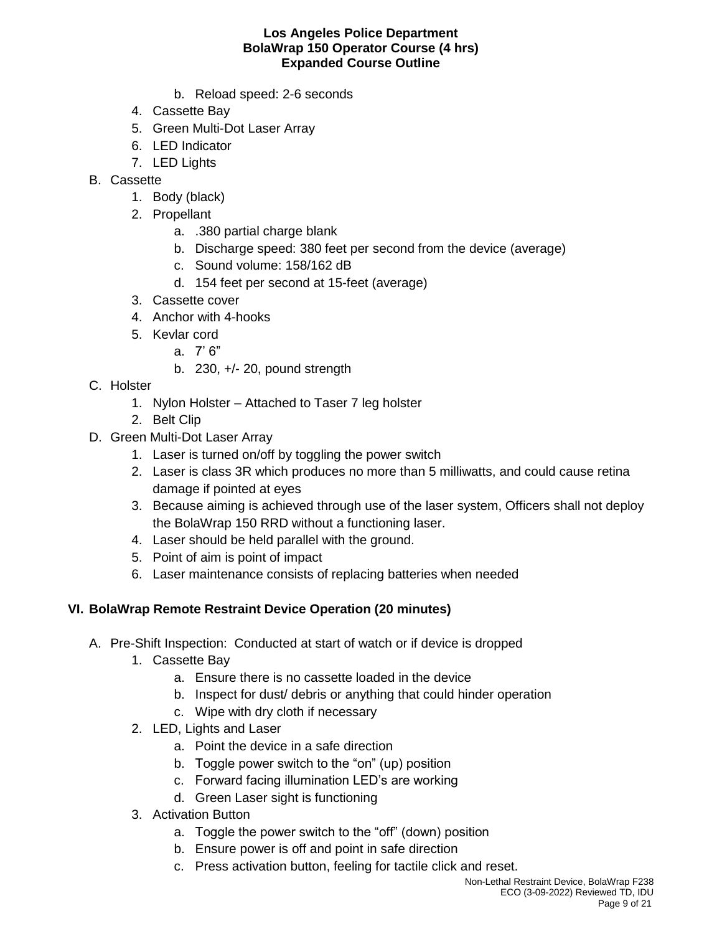- b. Reload speed: 2-6 seconds
- 4. Cassette Bay
- 5. Green Multi-Dot Laser Array
- 6. LED Indicator
- 7. LED Lights
- B. Cassette
	- 1. Body (black)
	- 2. Propellant
		- a. .380 partial charge blank
		- b. Discharge speed: 380 feet per second from the device (average)
		- c. Sound volume: 158/162 dB
		- d. 154 feet per second at 15-feet (average)
	- 3. Cassette cover
	- 4. Anchor with 4-hooks
	- 5. Kevlar cord
		- a. 7' 6"
		- b. 230, +/- 20, pound strength
- C. Holster
	- 1. Nylon Holster Attached to Taser 7 leg holster
	- 2. Belt Clip
- D. Green Multi-Dot Laser Array
	- 1. Laser is turned on/off by toggling the power switch
	- 2. Laser is class 3R which produces no more than 5 milliwatts, and could cause retina damage if pointed at eyes
	- 3. Because aiming is achieved through use of the laser system, Officers shall not deploy the BolaWrap 150 RRD without a functioning laser.
	- 4. Laser should be held parallel with the ground.
	- 5. Point of aim is point of impact
	- 6. Laser maintenance consists of replacing batteries when needed

# **VI. BolaWrap Remote Restraint Device Operation (20 minutes)**

- A. Pre-Shift Inspection: Conducted at start of watch or if device is dropped
	- 1. Cassette Bay
		- a. Ensure there is no cassette loaded in the device
		- b. Inspect for dust/ debris or anything that could hinder operation
		- c. Wipe with dry cloth if necessary
	- 2. LED, Lights and Laser
		- a. Point the device in a safe direction
		- b. Toggle power switch to the "on" (up) position
		- c. Forward facing illumination LED's are working
		- d. Green Laser sight is functioning
	- 3. Activation Button
		- a. Toggle the power switch to the "off" (down) position
		- b. Ensure power is off and point in safe direction
		- c. Press activation button, feeling for tactile click and reset.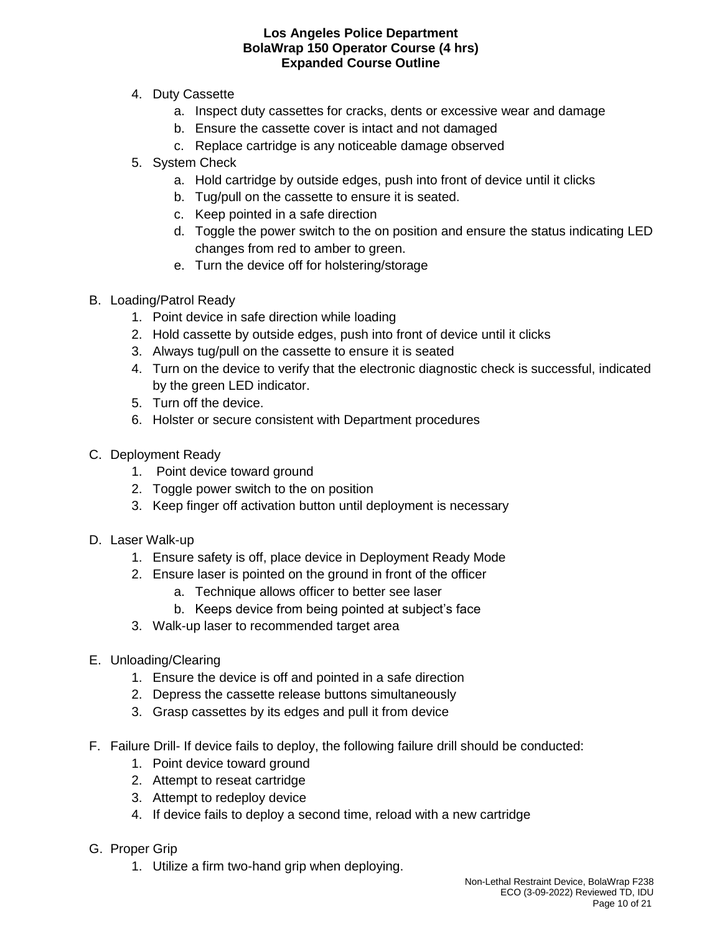- 4. Duty Cassette
	- a. Inspect duty cassettes for cracks, dents or excessive wear and damage
	- b. Ensure the cassette cover is intact and not damaged
	- c. Replace cartridge is any noticeable damage observed
- 5. System Check
	- a. Hold cartridge by outside edges, push into front of device until it clicks
	- b. Tug/pull on the cassette to ensure it is seated.
	- c. Keep pointed in a safe direction
	- d. Toggle the power switch to the on position and ensure the status indicating LED changes from red to amber to green.
	- e. Turn the device off for holstering/storage
- B. Loading/Patrol Ready
	- 1. Point device in safe direction while loading
	- 2. Hold cassette by outside edges, push into front of device until it clicks
	- 3. Always tug/pull on the cassette to ensure it is seated
	- 4. Turn on the device to verify that the electronic diagnostic check is successful, indicated by the green LED indicator.
	- 5. Turn off the device.
	- 6. Holster or secure consistent with Department procedures
- C. Deployment Ready
	- 1. Point device toward ground
	- 2. Toggle power switch to the on position
	- 3. Keep finger off activation button until deployment is necessary
- D. Laser Walk-up
	- 1. Ensure safety is off, place device in Deployment Ready Mode
	- 2. Ensure laser is pointed on the ground in front of the officer
		- a. Technique allows officer to better see laser
		- b. Keeps device from being pointed at subject's face
	- 3. Walk-up laser to recommended target area
- E. Unloading/Clearing
	- 1. Ensure the device is off and pointed in a safe direction
	- 2. Depress the cassette release buttons simultaneously
	- 3. Grasp cassettes by its edges and pull it from device
- F. Failure Drill- If device fails to deploy, the following failure drill should be conducted:
	- 1. Point device toward ground
	- 2. Attempt to reseat cartridge
	- 3. Attempt to redeploy device
	- 4. If device fails to deploy a second time, reload with a new cartridge
- G. Proper Grip
	- 1. Utilize a firm two-hand grip when deploying.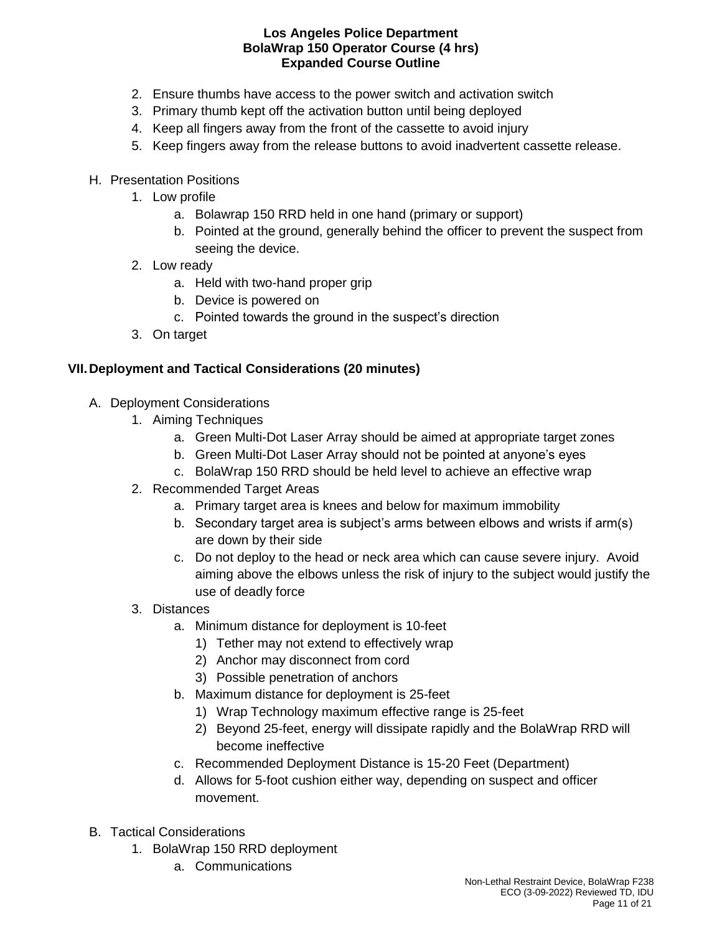- 2. Ensure thumbs have access to the power switch and activation switch
- 3. Primary thumb kept off the activation button until being deployed
- 4. Keep all fingers away from the front of the cassette to avoid injury
- 5. Keep fingers away from the release buttons to avoid inadvertent cassette release.
- H. Presentation Positions
	- 1. Low profile
		- a. Bolawrap 150 RRD held in one hand (primary or support)
		- b. Pointed at the ground, generally behind the officer to prevent the suspect from seeing the device.
	- 2. Low ready
		- a. Held with two-hand proper grip
		- b. Device is powered on
		- c. Pointed towards the ground in the suspect's direction
	- 3. On target

### **VII.Deployment and Tactical Considerations (20 minutes)**

- A. Deployment Considerations
	- 1. Aiming Techniques
		- a. Green Multi-Dot Laser Array should be aimed at appropriate target zones
		- b. Green Multi-Dot Laser Array should not be pointed at anyone's eyes
		- c. BolaWrap 150 RRD should be held level to achieve an effective wrap
	- 2. Recommended Target Areas
		- a. Primary target area is knees and below for maximum immobility
		- b. Secondary target area is subject's arms between elbows and wrists if arm(s) are down by their side
		- c. Do not deploy to the head or neck area which can cause severe injury. Avoid aiming above the elbows unless the risk of injury to the subject would justify the use of deadly force
	- 3. Distances
		- a. Minimum distance for deployment is 10-feet
			- 1) Tether may not extend to effectively wrap
			- 2) Anchor may disconnect from cord
			- 3) Possible penetration of anchors
		- b. Maximum distance for deployment is 25-feet
			- 1) Wrap Technology maximum effective range is 25-feet
			- 2) Beyond 25-feet, energy will dissipate rapidly and the BolaWrap RRD will become ineffective
		- c. Recommended Deployment Distance is 15-20 Feet (Department)
		- d. Allows for 5-foot cushion either way, depending on suspect and officer movement.
- B. Tactical Considerations
	- 1. BolaWrap 150 RRD deployment
		- a. Communications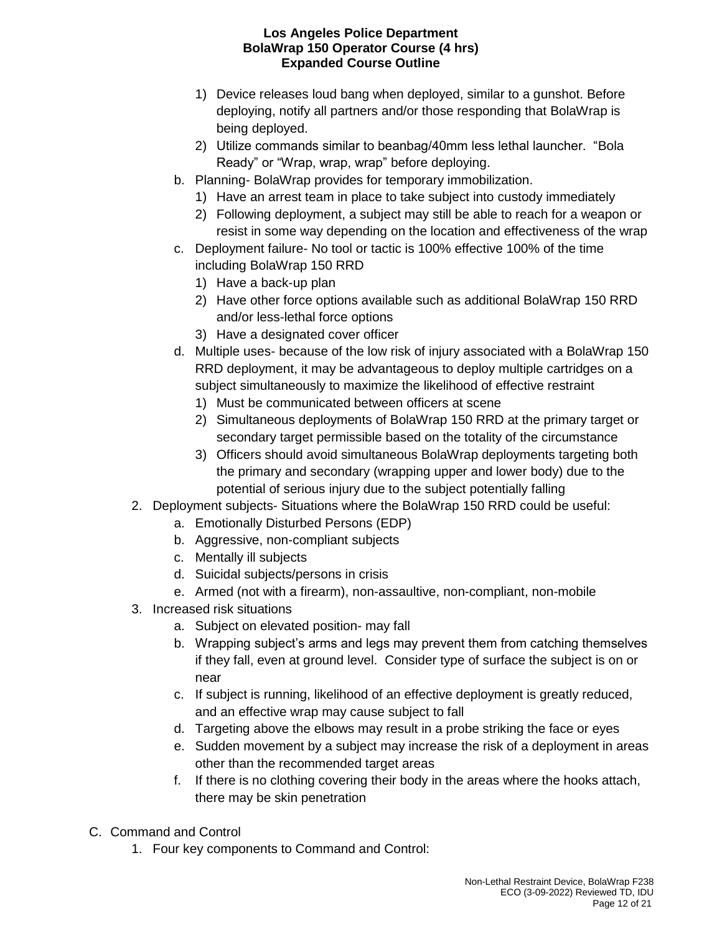- 1) Device releases loud bang when deployed, similar to a gunshot. Before deploying, notify all partners and/or those responding that BolaWrap is being deployed.
- 2) Utilize commands similar to beanbag/40mm less lethal launcher. "Bola Ready" or "Wrap, wrap, wrap" before deploying.
- b. Planning- BolaWrap provides for temporary immobilization.
	- 1) Have an arrest team in place to take subject into custody immediately
	- 2) Following deployment, a subject may still be able to reach for a weapon or resist in some way depending on the location and effectiveness of the wrap
- c. Deployment failure- No tool or tactic is 100% effective 100% of the time including BolaWrap 150 RRD
	- 1) Have a back-up plan
	- 2) Have other force options available such as additional BolaWrap 150 RRD and/or less-lethal force options
	- 3) Have a designated cover officer
- d. Multiple uses- because of the low risk of injury associated with a BolaWrap 150 RRD deployment, it may be advantageous to deploy multiple cartridges on a subject simultaneously to maximize the likelihood of effective restraint
	- 1) Must be communicated between officers at scene
	- 2) Simultaneous deployments of BolaWrap 150 RRD at the primary target or secondary target permissible based on the totality of the circumstance
	- 3) Officers should avoid simultaneous BolaWrap deployments targeting both the primary and secondary (wrapping upper and lower body) due to the potential of serious injury due to the subject potentially falling
- 2. Deployment subjects- Situations where the BolaWrap 150 RRD could be useful:
	- a. Emotionally Disturbed Persons (EDP)
	- b. Aggressive, non-compliant subjects
	- c. Mentally ill subjects
	- d. Suicidal subjects/persons in crisis
	- e. Armed (not with a firearm), non-assaultive, non-compliant, non-mobile
- 3. Increased risk situations
	- a. Subject on elevated position- may fall
	- b. Wrapping subject's arms and legs may prevent them from catching themselves if they fall, even at ground level. Consider type of surface the subject is on or near
	- c. If subject is running, likelihood of an effective deployment is greatly reduced, and an effective wrap may cause subject to fall
	- d. Targeting above the elbows may result in a probe striking the face or eyes
	- e. Sudden movement by a subject may increase the risk of a deployment in areas other than the recommended target areas
	- f. If there is no clothing covering their body in the areas where the hooks attach, there may be skin penetration
- C. Command and Control
	- 1. Four key components to Command and Control: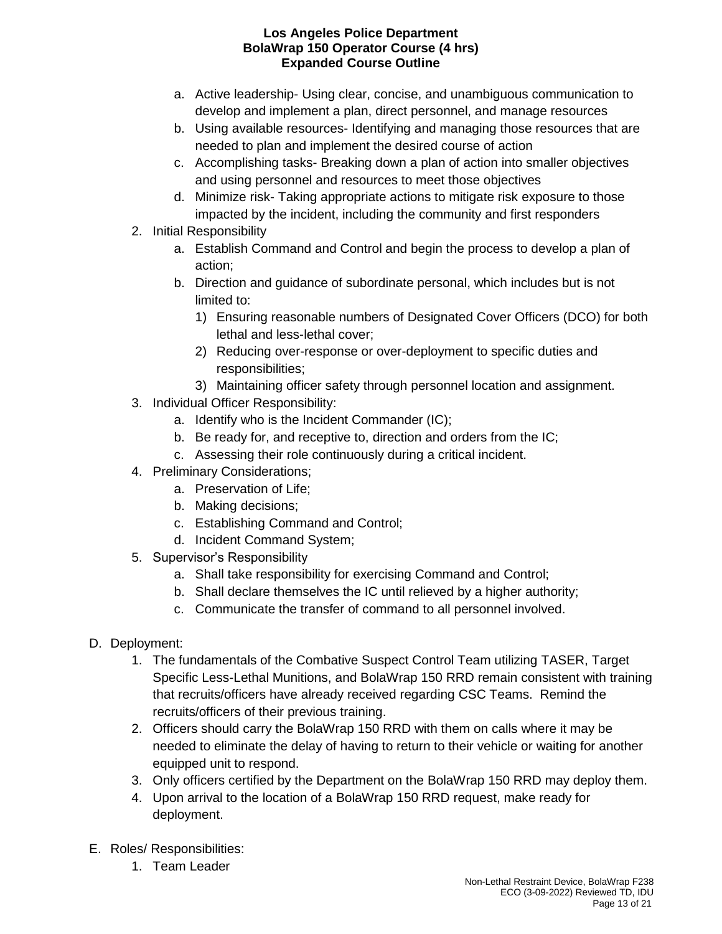- a. Active leadership- Using clear, concise, and unambiguous communication to develop and implement a plan, direct personnel, and manage resources
- b. Using available resources- Identifying and managing those resources that are needed to plan and implement the desired course of action
- c. Accomplishing tasks- Breaking down a plan of action into smaller objectives and using personnel and resources to meet those objectives
- d. Minimize risk- Taking appropriate actions to mitigate risk exposure to those impacted by the incident, including the community and first responders
- 2. Initial Responsibility
	- a. Establish Command and Control and begin the process to develop a plan of action;
	- b. Direction and guidance of subordinate personal, which includes but is not limited to:
		- 1) Ensuring reasonable numbers of Designated Cover Officers (DCO) for both lethal and less-lethal cover;
		- 2) Reducing over-response or over-deployment to specific duties and responsibilities;
		- 3) Maintaining officer safety through personnel location and assignment.
- 3. Individual Officer Responsibility:
	- a. Identify who is the Incident Commander (IC);
	- b. Be ready for, and receptive to, direction and orders from the IC;
	- c. Assessing their role continuously during a critical incident.
- 4. Preliminary Considerations;
	- a. Preservation of Life;
	- b. Making decisions;
	- c. Establishing Command and Control;
	- d. Incident Command System;
- 5. Supervisor's Responsibility
	- a. Shall take responsibility for exercising Command and Control;
	- b. Shall declare themselves the IC until relieved by a higher authority;
	- c. Communicate the transfer of command to all personnel involved.
- D. Deployment:
	- 1. The fundamentals of the Combative Suspect Control Team utilizing TASER, Target Specific Less-Lethal Munitions, and BolaWrap 150 RRD remain consistent with training that recruits/officers have already received regarding CSC Teams. Remind the recruits/officers of their previous training.
	- 2. Officers should carry the BolaWrap 150 RRD with them on calls where it may be needed to eliminate the delay of having to return to their vehicle or waiting for another equipped unit to respond.
	- 3. Only officers certified by the Department on the BolaWrap 150 RRD may deploy them.
	- 4. Upon arrival to the location of a BolaWrap 150 RRD request, make ready for deployment.
- E. Roles/ Responsibilities:
	- 1. Team Leader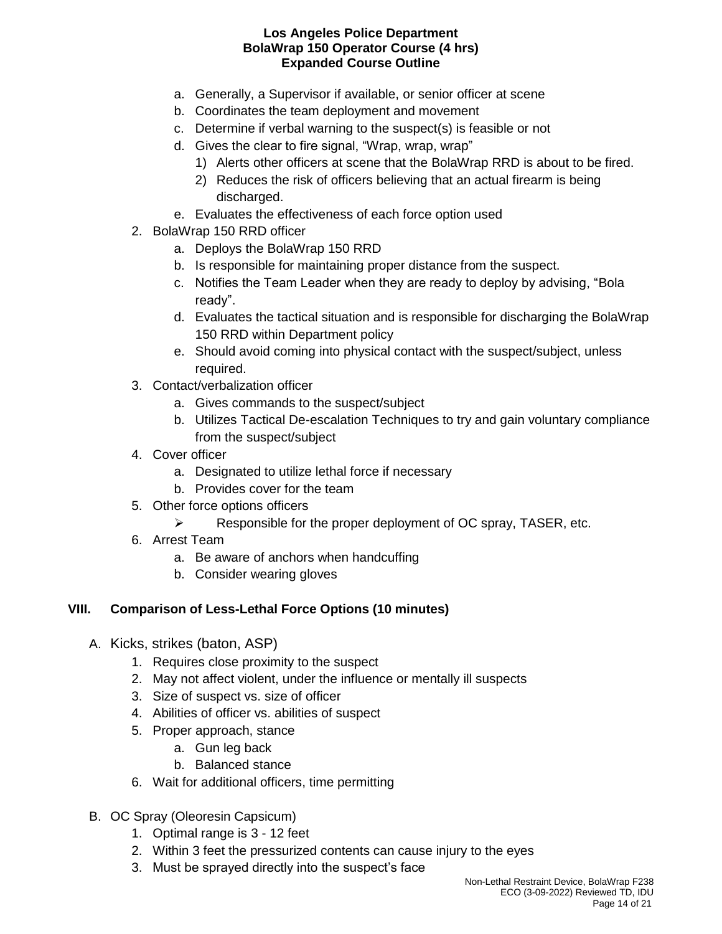- a. Generally, a Supervisor if available, or senior officer at scene
- b. Coordinates the team deployment and movement
- c. Determine if verbal warning to the suspect(s) is feasible or not
- d. Gives the clear to fire signal, "Wrap, wrap, wrap"
	- 1) Alerts other officers at scene that the BolaWrap RRD is about to be fired.
	- 2) Reduces the risk of officers believing that an actual firearm is being discharged.
- e. Evaluates the effectiveness of each force option used
- 2. BolaWrap 150 RRD officer
	- a. Deploys the BolaWrap 150 RRD
	- b. Is responsible for maintaining proper distance from the suspect.
	- c. Notifies the Team Leader when they are ready to deploy by advising, "Bola ready".
	- d. Evaluates the tactical situation and is responsible for discharging the BolaWrap 150 RRD within Department policy
	- e. Should avoid coming into physical contact with the suspect/subject, unless required.
- 3. Contact/verbalization officer
	- a. Gives commands to the suspect/subject
	- b. Utilizes Tactical De-escalation Techniques to try and gain voluntary compliance from the suspect/subject
- 4. Cover officer
	- a. Designated to utilize lethal force if necessary
	- b. Provides cover for the team
- 5. Other force options officers
	- $\triangleright$  Responsible for the proper deployment of OC spray, TASER, etc.
- 6. Arrest Team
	- a. Be aware of anchors when handcuffing
	- b. Consider wearing gloves

# **VIII. Comparison of Less-Lethal Force Options (10 minutes)**

- A. Kicks, strikes (baton, ASP)
	- 1. Requires close proximity to the suspect
	- 2. May not affect violent, under the influence or mentally ill suspects
	- 3. Size of suspect vs. size of officer
	- 4. Abilities of officer vs. abilities of suspect
	- 5. Proper approach, stance
		- a. Gun leg back
		- b. Balanced stance
	- 6. Wait for additional officers, time permitting
- B. OC Spray (Oleoresin Capsicum)
	- 1. Optimal range is 3 12 feet
	- 2. Within 3 feet the pressurized contents can cause injury to the eyes
	- 3. Must be sprayed directly into the suspect's face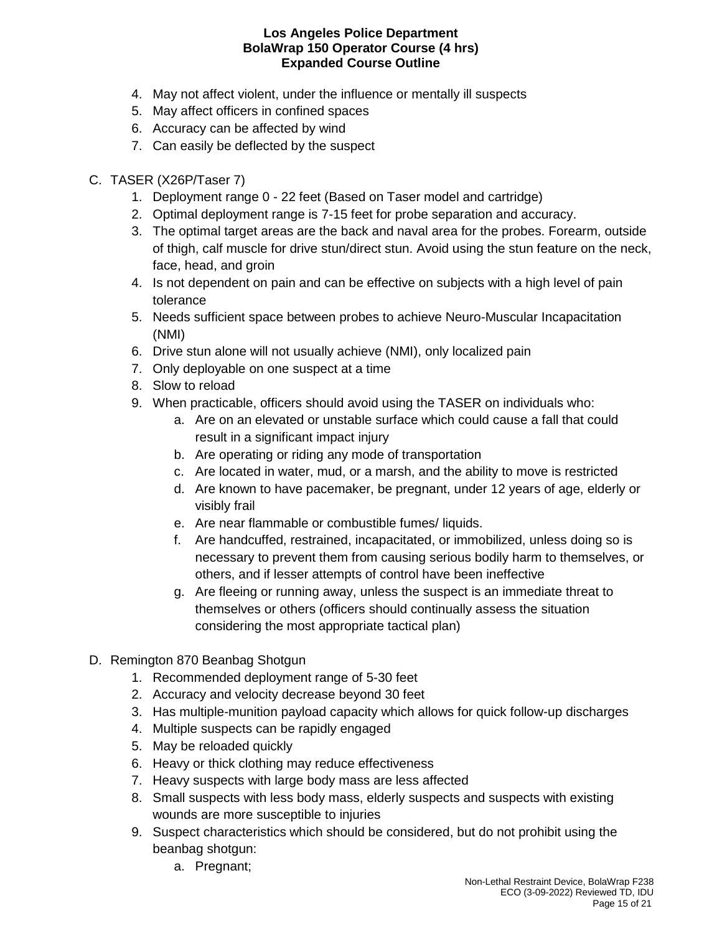- 4. May not affect violent, under the influence or mentally ill suspects
- 5. May affect officers in confined spaces
- 6. Accuracy can be affected by wind
- 7. Can easily be deflected by the suspect
- C. TASER (X26P/Taser 7)
	- 1. Deployment range 0 22 feet (Based on Taser model and cartridge)
	- 2. Optimal deployment range is 7-15 feet for probe separation and accuracy.
	- 3. The optimal target areas are the back and naval area for the probes. Forearm, outside of thigh, calf muscle for drive stun/direct stun. Avoid using the stun feature on the neck, face, head, and groin
	- 4. Is not dependent on pain and can be effective on subjects with a high level of pain tolerance
	- 5. Needs sufficient space between probes to achieve Neuro-Muscular Incapacitation (NMI)
	- 6. Drive stun alone will not usually achieve (NMI), only localized pain
	- 7. Only deployable on one suspect at a time
	- 8. Slow to reload
	- 9. When practicable, officers should avoid using the TASER on individuals who:
		- a. Are on an elevated or unstable surface which could cause a fall that could result in a significant impact injury
		- b. Are operating or riding any mode of transportation
		- c. Are located in water, mud, or a marsh, and the ability to move is restricted
		- d. Are known to have pacemaker, be pregnant, under 12 years of age, elderly or visibly frail
		- e. Are near flammable or combustible fumes/ liquids.
		- f. Are handcuffed, restrained, incapacitated, or immobilized, unless doing so is necessary to prevent them from causing serious bodily harm to themselves, or others, and if lesser attempts of control have been ineffective
		- g. Are fleeing or running away, unless the suspect is an immediate threat to themselves or others (officers should continually assess the situation considering the most appropriate tactical plan)
- D. Remington 870 Beanbag Shotgun
	- 1. Recommended deployment range of 5-30 feet
	- 2. Accuracy and velocity decrease beyond 30 feet
	- 3. Has multiple-munition payload capacity which allows for quick follow-up discharges
	- 4. Multiple suspects can be rapidly engaged
	- 5. May be reloaded quickly
	- 6. Heavy or thick clothing may reduce effectiveness
	- 7. Heavy suspects with large body mass are less affected
	- 8. Small suspects with less body mass, elderly suspects and suspects with existing wounds are more susceptible to injuries
	- 9. Suspect characteristics which should be considered, but do not prohibit using the beanbag shotgun:
		- a. Pregnant;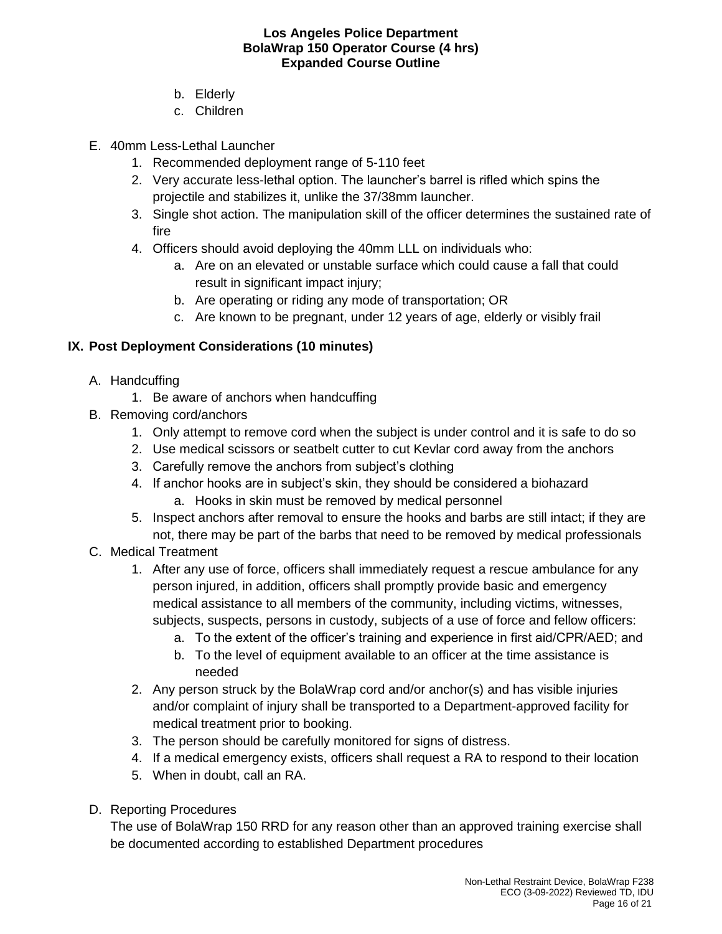- b. Elderly
- c. Children
- E. 40mm Less-Lethal Launcher
	- 1. Recommended deployment range of 5-110 feet
	- 2. Very accurate less-lethal option. The launcher's barrel is rifled which spins the projectile and stabilizes it, unlike the 37/38mm launcher.
	- 3. Single shot action. The manipulation skill of the officer determines the sustained rate of fire
	- 4. Officers should avoid deploying the 40mm LLL on individuals who:
		- a. Are on an elevated or unstable surface which could cause a fall that could result in significant impact injury;
		- b. Are operating or riding any mode of transportation; OR
		- c. Are known to be pregnant, under 12 years of age, elderly or visibly frail

### **IX. Post Deployment Considerations (10 minutes)**

- A. Handcuffing
	- 1. Be aware of anchors when handcuffing
- B. Removing cord/anchors
	- 1. Only attempt to remove cord when the subject is under control and it is safe to do so
	- 2. Use medical scissors or seatbelt cutter to cut Kevlar cord away from the anchors
	- 3. Carefully remove the anchors from subject's clothing
	- 4. If anchor hooks are in subject's skin, they should be considered a biohazard a. Hooks in skin must be removed by medical personnel
	- 5. Inspect anchors after removal to ensure the hooks and barbs are still intact; if they are not, there may be part of the barbs that need to be removed by medical professionals
- C. Medical Treatment
	- 1. After any use of force, officers shall immediately request a rescue ambulance for any person injured, in addition, officers shall promptly provide basic and emergency medical assistance to all members of the community, including victims, witnesses, subjects, suspects, persons in custody, subjects of a use of force and fellow officers:
		- a. To the extent of the officer's training and experience in first aid/CPR/AED; and
		- b. To the level of equipment available to an officer at the time assistance is needed
	- 2. Any person struck by the BolaWrap cord and/or anchor(s) and has visible injuries and/or complaint of injury shall be transported to a Department-approved facility for medical treatment prior to booking.
	- 3. The person should be carefully monitored for signs of distress.
	- 4. If a medical emergency exists, officers shall request a RA to respond to their location
	- 5. When in doubt, call an RA.
- D. Reporting Procedures

The use of BolaWrap 150 RRD for any reason other than an approved training exercise shall be documented according to established Department procedures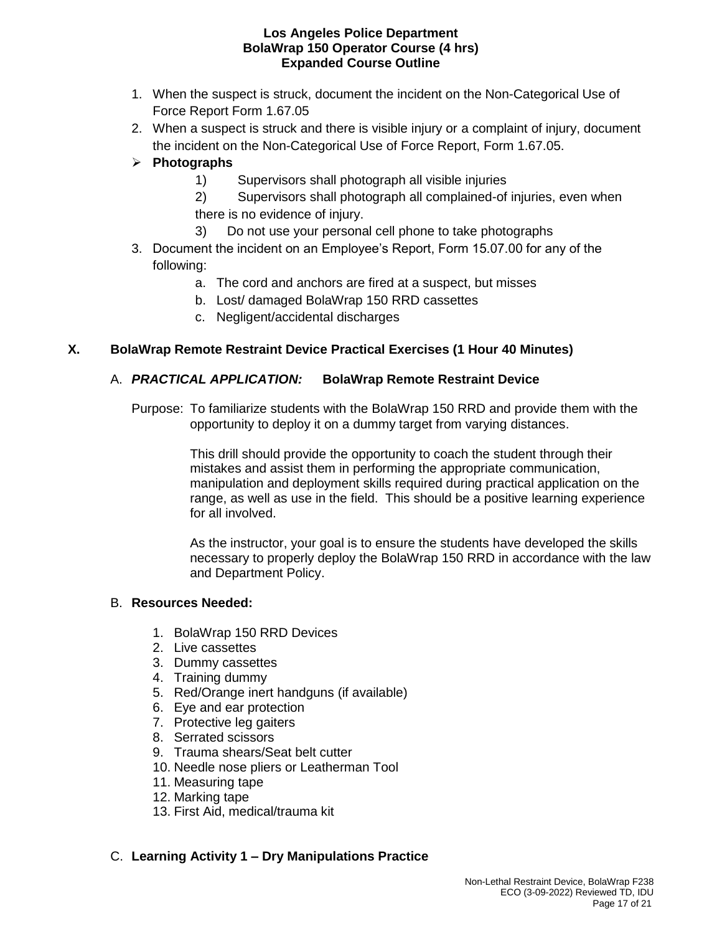- 1. When the suspect is struck, document the incident on the Non-Categorical Use of Force Report Form 1.67.05
- 2. When a suspect is struck and there is visible injury or a complaint of injury, document the incident on the Non-Categorical Use of Force Report, Form 1.67.05.
- ➢ **Photographs** 
	- 1) Supervisors shall photograph all visible injuries
	- 2) Supervisors shall photograph all complained-of injuries, even when there is no evidence of injury.
	- 3) Do not use your personal cell phone to take photographs
- 3. Document the incident on an Employee's Report, Form 15.07.00 for any of the following:
	- a. The cord and anchors are fired at a suspect, but misses
	- b. Lost/ damaged BolaWrap 150 RRD cassettes
	- c. Negligent/accidental discharges

# **X. BolaWrap Remote Restraint Device Practical Exercises (1 Hour 40 Minutes)**

# A. *PRACTICAL APPLICATION:* **BolaWrap Remote Restraint Device**

Purpose: To familiarize students with the BolaWrap 150 RRD and provide them with the opportunity to deploy it on a dummy target from varying distances.

> This drill should provide the opportunity to coach the student through their mistakes and assist them in performing the appropriate communication, manipulation and deployment skills required during practical application on the range, as well as use in the field. This should be a positive learning experience for all involved.

As the instructor, your goal is to ensure the students have developed the skills necessary to properly deploy the BolaWrap 150 RRD in accordance with the law and Department Policy.

# B. **Resources Needed:**

- 1. BolaWrap 150 RRD Devices
- 2. Live cassettes
- 3. Dummy cassettes
- 4. Training dummy
- 5. Red/Orange inert handguns (if available)
- 6. Eye and ear protection
- 7. Protective leg gaiters
- 8. Serrated scissors
- 9. Trauma shears/Seat belt cutter
- 10. Needle nose pliers or Leatherman Tool
- 11. Measuring tape
- 12. Marking tape
- 13. First Aid, medical/trauma kit

# C. **Learning Activity 1 – Dry Manipulations Practice**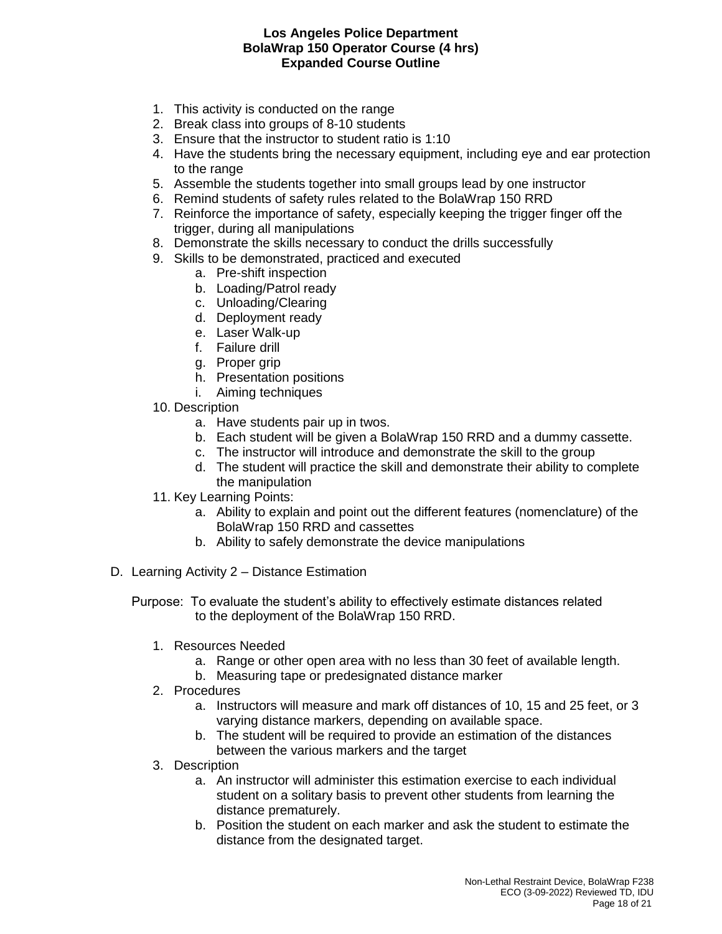- 1. This activity is conducted on the range
- 2. Break class into groups of 8-10 students
- 3. Ensure that the instructor to student ratio is 1:10
- 4. Have the students bring the necessary equipment, including eye and ear protection to the range
- 5. Assemble the students together into small groups lead by one instructor
- 6. Remind students of safety rules related to the BolaWrap 150 RRD
- 7. Reinforce the importance of safety, especially keeping the trigger finger off the trigger, during all manipulations
- 8. Demonstrate the skills necessary to conduct the drills successfully
- 9. Skills to be demonstrated, practiced and executed
	- a. Pre-shift inspection
	- b. Loading/Patrol ready
	- c. Unloading/Clearing
	- d. Deployment ready
	- e. Laser Walk-up
	- f. Failure drill
	- g. Proper grip
	- h. Presentation positions
	- i. Aiming techniques
- 10. Description
	- a. Have students pair up in twos.
	- b. Each student will be given a BolaWrap 150 RRD and a dummy cassette.
	- c. The instructor will introduce and demonstrate the skill to the group
	- d. The student will practice the skill and demonstrate their ability to complete the manipulation
- 11. Key Learning Points:
	- a. Ability to explain and point out the different features (nomenclature) of the BolaWrap 150 RRD and cassettes
	- b. Ability to safely demonstrate the device manipulations
- D. Learning Activity 2 Distance Estimation
	- Purpose: To evaluate the student's ability to effectively estimate distances related to the deployment of the BolaWrap 150 RRD.
		- 1. Resources Needed
			- a. Range or other open area with no less than 30 feet of available length.
			- b. Measuring tape or predesignated distance marker
		- 2. Procedures
			- a. Instructors will measure and mark off distances of 10, 15 and 25 feet, or 3 varying distance markers, depending on available space.
			- b. The student will be required to provide an estimation of the distances between the various markers and the target
		- 3. Description
			- a. An instructor will administer this estimation exercise to each individual student on a solitary basis to prevent other students from learning the distance prematurely.
			- b. Position the student on each marker and ask the student to estimate the distance from the designated target.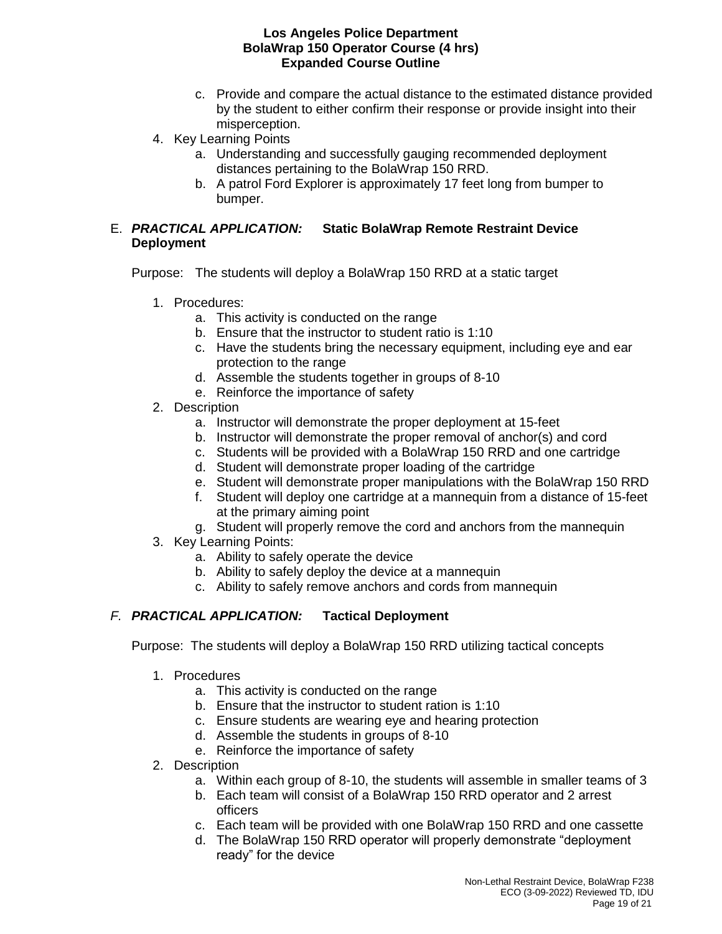- c. Provide and compare the actual distance to the estimated distance provided by the student to either confirm their response or provide insight into their misperception.
- 4. Key Learning Points
	- a. Understanding and successfully gauging recommended deployment distances pertaining to the BolaWrap 150 RRD.
	- b. A patrol Ford Explorer is approximately 17 feet long from bumper to bumper.

### E. *PRACTICAL APPLICATION:* **Static BolaWrap Remote Restraint Device Deployment**

Purpose: The students will deploy a BolaWrap 150 RRD at a static target

- 1. Procedures:
	- a. This activity is conducted on the range
	- b. Ensure that the instructor to student ratio is 1:10
	- c. Have the students bring the necessary equipment, including eye and ear protection to the range
	- d. Assemble the students together in groups of 8-10
	- e. Reinforce the importance of safety
- 2. Description
	- a. Instructor will demonstrate the proper deployment at 15-feet
	- b. Instructor will demonstrate the proper removal of anchor(s) and cord
	- c. Students will be provided with a BolaWrap 150 RRD and one cartridge
	- d. Student will demonstrate proper loading of the cartridge
	- e. Student will demonstrate proper manipulations with the BolaWrap 150 RRD
	- f. Student will deploy one cartridge at a mannequin from a distance of 15-feet at the primary aiming point
	- g. Student will properly remove the cord and anchors from the mannequin
- 3. Key Learning Points:
	- a. Ability to safely operate the device
	- b. Ability to safely deploy the device at a mannequin
	- c. Ability to safely remove anchors and cords from mannequin

# *F. PRACTICAL APPLICATION:* **Tactical Deployment**

Purpose: The students will deploy a BolaWrap 150 RRD utilizing tactical concepts

- 1. Procedures
	- a. This activity is conducted on the range
	- b. Ensure that the instructor to student ration is 1:10
	- c. Ensure students are wearing eye and hearing protection
	- d. Assemble the students in groups of 8-10
	- e. Reinforce the importance of safety
- 2. Description
	- a. Within each group of 8-10, the students will assemble in smaller teams of 3
	- b. Each team will consist of a BolaWrap 150 RRD operator and 2 arrest officers
	- c. Each team will be provided with one BolaWrap 150 RRD and one cassette
	- d. The BolaWrap 150 RRD operator will properly demonstrate "deployment ready" for the device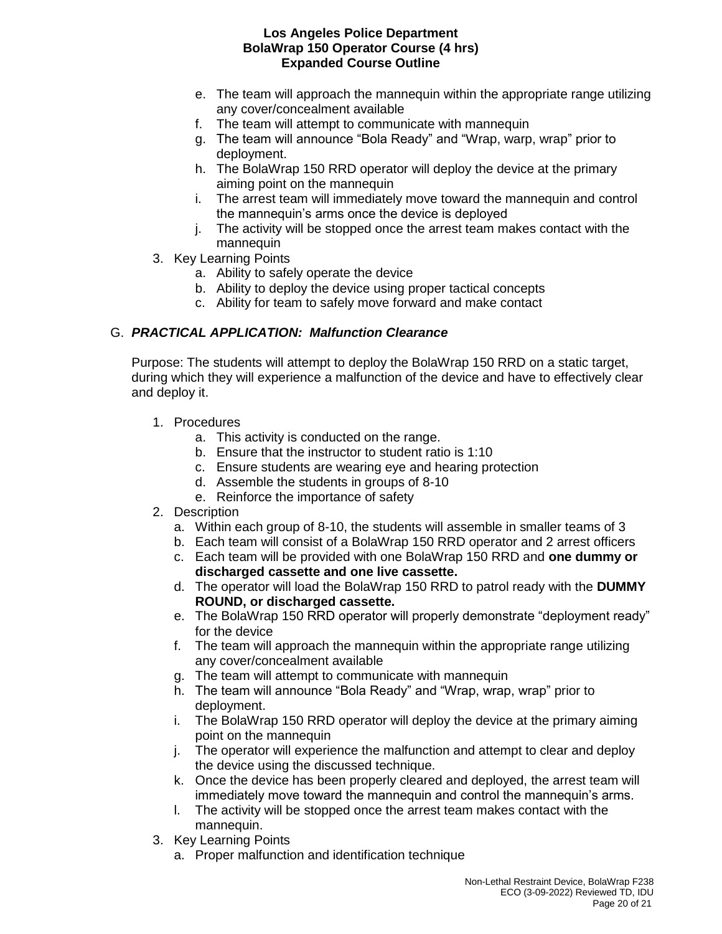- e. The team will approach the mannequin within the appropriate range utilizing any cover/concealment available
- f. The team will attempt to communicate with mannequin
- g. The team will announce "Bola Ready" and "Wrap, warp, wrap" prior to deployment.
- h. The BolaWrap 150 RRD operator will deploy the device at the primary aiming point on the mannequin
- i. The arrest team will immediately move toward the mannequin and control the mannequin's arms once the device is deployed
- j. The activity will be stopped once the arrest team makes contact with the mannequin
- 3. Key Learning Points
	- a. Ability to safely operate the device
	- b. Ability to deploy the device using proper tactical concepts
	- c. Ability for team to safely move forward and make contact

### G. *PRACTICAL APPLICATION: Malfunction Clearance*

Purpose: The students will attempt to deploy the BolaWrap 150 RRD on a static target, during which they will experience a malfunction of the device and have to effectively clear and deploy it.

- 1. Procedures
	- a. This activity is conducted on the range.
	- b. Ensure that the instructor to student ratio is 1:10
	- c. Ensure students are wearing eye and hearing protection
	- d. Assemble the students in groups of 8-10
	- e. Reinforce the importance of safety
- 2. Description
	- a. Within each group of 8-10, the students will assemble in smaller teams of 3
	- b. Each team will consist of a BolaWrap 150 RRD operator and 2 arrest officers
	- c. Each team will be provided with one BolaWrap 150 RRD and **one dummy or discharged cassette and one live cassette.**
	- d. The operator will load the BolaWrap 150 RRD to patrol ready with the **DUMMY ROUND, or discharged cassette.**
	- e. The BolaWrap 150 RRD operator will properly demonstrate "deployment ready" for the device
	- f. The team will approach the mannequin within the appropriate range utilizing any cover/concealment available
	- g. The team will attempt to communicate with mannequin
	- h. The team will announce "Bola Ready" and "Wrap, wrap, wrap" prior to deployment.
	- i. The BolaWrap 150 RRD operator will deploy the device at the primary aiming point on the mannequin
	- j. The operator will experience the malfunction and attempt to clear and deploy the device using the discussed technique.
	- k. Once the device has been properly cleared and deployed, the arrest team will immediately move toward the mannequin and control the mannequin's arms.
	- l. The activity will be stopped once the arrest team makes contact with the mannequin.
- 3. Key Learning Points
	- a. Proper malfunction and identification technique